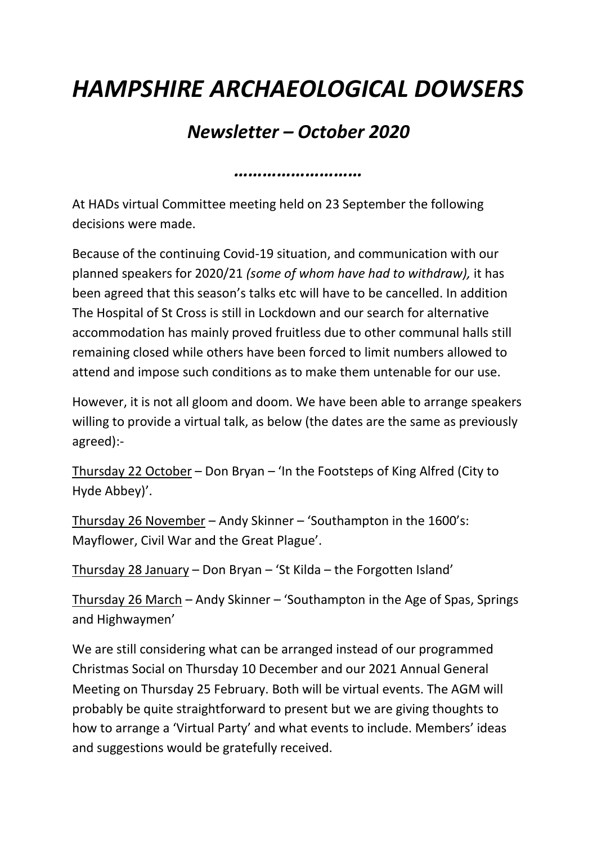## *HAMPSHIRE ARCHAEOLOGICAL DOWSERS*

## *Newsletter – October 2020*

*………………………*

At HADs virtual Committee meeting held on 23 September the following decisions were made.

Because of the continuing Covid-19 situation, and communication with our planned speakers for 2020/21 *(some of whom have had to withdraw),* it has been agreed that this season's talks etc will have to be cancelled. In addition The Hospital of St Cross is still in Lockdown and our search for alternative accommodation has mainly proved fruitless due to other communal halls still remaining closed while others have been forced to limit numbers allowed to attend and impose such conditions as to make them untenable for our use.

However, it is not all gloom and doom. We have been able to arrange speakers willing to provide a virtual talk, as below (the dates are the same as previously agreed):-

Thursday 22 October – Don Bryan – 'In the Footsteps of King Alfred (City to Hyde Abbey)'.

Thursday 26 November – Andy Skinner – 'Southampton in the 1600's: Mayflower, Civil War and the Great Plague'.

Thursday 28 January – Don Bryan – 'St Kilda – the Forgotten Island'

Thursday 26 March – Andy Skinner – 'Southampton in the Age of Spas, Springs and Highwaymen'

We are still considering what can be arranged instead of our programmed Christmas Social on Thursday 10 December and our 2021 Annual General Meeting on Thursday 25 February. Both will be virtual events. The AGM will probably be quite straightforward to present but we are giving thoughts to how to arrange a 'Virtual Party' and what events to include. Members' ideas and suggestions would be gratefully received.